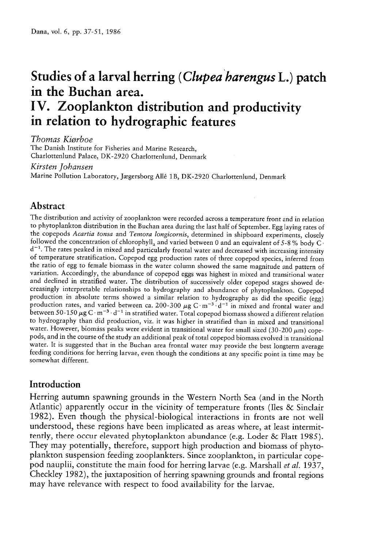# Studies of a larval herring (Clupea harengus L.) patch in the Buchan area. IV. Zooplankton distribution and productivity in relation to hydrographic features

Thomas Kiorboe

The Danish Institute for Fisheries and Marine Research, Charlottenlund Palace, DK-2920 Charlottenlund, Denmark

#### Kirsten Johansen

Marine Pollution Laboratory, Jægersborg Allé 1B, DK-2920 Charlottenlund, Denmark

# Abstract

The distribution and activity of zooplankton were recorded across a temperature front and in relation to <sup>p</sup>hytoplankton distribution in the Buchan area during the last half of September. Egg laying rates of the copepods Acartia tonsa and Temora longicornis, determined in shipboard experiments, closely followed the concentration of chlorophyll<sub>a</sub> and varied between 0 and an equivalent of 5-8% body C·  $d^{-1}$ . The rates peaked in mixed and particularly frontal water and decreased with increasing intensity of temperature stratification. Copepod egg production rates of three copepod species, inferred from the ratio of egg to female biomass in the water column showed the same magnitude and pattern of variation. Accordingly, the abundance of copepod eggs was highest in mixed and transitional water and declined in stratified water. The distribution of successively older copepod stages showed de-<br>creasingly interpretable relationships to hydrography and abundance of phytoplankton. Copepod production in absolute terms showed a similar relation to hydrography as did the specific (egg) production rates, and varied between ca. 200-300  $\mu$ g C·m<sup>-3</sup>·d<sup>-1</sup> in mixed and frontal water and between 50-150  $\mu$ g C·m<sup>-3</sup>·d<sup>-1</sup> in stratified water. Total copepod biomass showed a different relation to hydrography than did production, viz. it was higher in stratified than in mixed and transitional<br>water. However, biomass peaks were evident in transitional water for small sized (30-200  $\mu$ m) copepods, and in the course of the study an additional peak of total copepod biomass evolved in transitional<br>water. It is suggested that in the Buchan area frontal water may provide the best longterm average feeding conditions for herring larvae, even though the conditions at any specific point in time may be somewhat different.

# Introduction

Herring autumn spawning grounds in the Western North Sea (and in the North Atlantic) apparently occur in the vicinity of temperature fronts (Iles & Sinclair 1982). Even though the physical-biological interactions in fronts are not well understood, these regions have been implicated as areas where, at least intermit tently, there occur elevated <sup>p</sup>hytoplankton abundance (e.g. Loder & Platt 1985). They may potentially, therefore, support high production and biomass of <sup>p</sup>hyto <sup>p</sup>lankton suspension feeding zooplankters. Since zooplankton, in particular cope pod nauplii, constitute the main food for herring larvae (e.g. Marshall et al. 1937, Checkley 1982), the juxtaposition of herring spawning grounds and frontal regions may have relevance with respect to food availability for the larvae.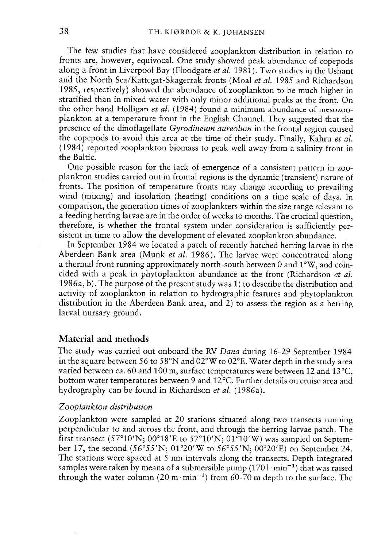The few studies that have considered zooplankton distribution in relation to fronts are, however, equivocal. One study showed pea<sup>k</sup> abundance of copepods along a front in Liverpool Bay (Floodgate et al. 1981). Two studies in the Ushant and the North Sea/Kattegat-Skagerrak fronts (Moal *et al*. 1985 and Richardson 1985, respectively) showed the abundance of zooplankton to be much higher in stratified than in mixed water with only minor additional peaks at the front. On the other hand Holligan *et al.* (1984) found a minimum abundance of mesozoo<sup>p</sup>lankton at <sup>a</sup> temperature front in the English Channel. They suggested that the presence of the dinoflagellate Gyrodineum aureolum in the frontal region caused the copepods to avoid this area at the time of their study. Finally, Kahru *et al* (1984) reported zooplankton biomass to pea<sup>k</sup> well away from <sup>a</sup> salinity front in the Baltic.

One possible reason for the lack of emergence of <sup>a</sup> consistent pattern in zoo plankton studies carried out in frontal regions is the dynamic (transient) nature of fronts. The position of temperature fronts may change according to prevailing wind (mixing) and insolation (heating) conditions on <sup>a</sup> time scale of days. In comparison, the generation times of zooplankters within the size range relevant to a feeding herring larvae are in the order of weeks to months. The crucical question, therefore, is whether the frontal system under consideration is sufficiently per sistent in time to allow the development of elevated zooplankton abundance.

In September 1984 we located <sup>a</sup> patch of recently hatched herring larvae in the Aberdeen Bank area (Munk *et al*. 1986). The larvae were concentrated along a thermal front running approximately north-south between 0 and 1°W, and coin cided with a peak in phytoplankton abundance at the front (Richardson *et al* 1986a, b). The purpose of the presen<sup>t</sup> study was 1) to describe the distribution and activity of zooplankton in relation to hydrographic features and <sup>p</sup>hytoplankton distribution in the Aberdeen Bank area, and 2) to assess the region as <sup>a</sup> herring larval nursary ground.

## Material and methods

The study was carried out onboard the RV Dana during 16-29 September 1984 in the square between 56 to 58°N and 02°W to 02°E. Water depth in the study area varied between ca. 60 and 100 m, surface temperatures were between 12 and 13°C. bottom water temperatures between 9 and 12°C. Further details on cruise area and hydrography can be found in Richardson et al. (1986a).

## Zooplankton distribution

Zooplankton were sampled at 20 stations situated along two transects running perpendicular to and across the front, and through the herring larvae patch. The first transect (57°10'N; 00°18'E to 57°10'N; 01°10'W) was sampled on Septern ber 17, the second (56°55'N; 01°20'W to 56°55'N; 00°20'E) on September 24. The stations were spaced at <sup>5</sup> nm intervals along the transects. Depth integrated samples were taken by means of a submersible pump  $(1701 \cdot \text{min}^{-1})$  that was raised through the water column (20 m $\cdot$ min<sup>-1</sup>) from 60-70 m depth to the surface. The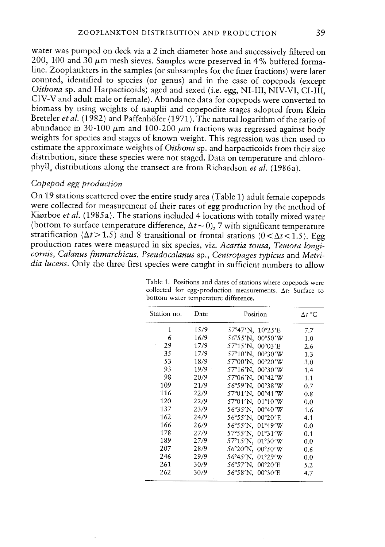water was pumped on deck via <sup>a</sup> <sup>2</sup> inch diameter hose and successively filtered on 200, 100 and 30  $\mu$ m mesh sieves. Samples were preserved in 4% buffered formaline. Zooplankters in the samples (or subsamples for the finer fractions) were later counted, identified to species (or genus) and in the case of copepods (except Oithona sp. and Harpacticoids) age<sup>d</sup> and sexed (i.e. egg, NI-Ill, NIV-VI, Cl-Ill, CIV-V and adult male or female). Abundance data for copepods were converted to biomass by using weights of nauplii and copepodite stages adopted from Klein Breteler et al. (1982) and Paffenhöfer (1971). The natural logarithm of the ratio of abundance in 30-100  $\mu$ m and 100-200  $\mu$ m fractions was regressed against body weights for species and stages of known weight. This regression was then used to estimate the approximate weights of Oithona sp. and harpacticoids from their size distribution, since these species were not staged. Data on temperature and chloro phyll<sub>a</sub> distributions along the transect are from Richardson *et al.* (1986a).

# Copepod egg production

On <sup>19</sup> stations scattered over the entire study area (Table I) adult female copepods were collected for measurement of their rates of egg production by the method of Kiørboe et al. (1985a). The stations included <sup>4</sup> locations with totally mixed water (bottom to surface temperature difference,  $\Delta t \sim 0$ ), 7 with significant temperature stratification ( $\Delta t$  > 1.5) and 8 transitional or frontal stations ( $0 < \Delta t < 1.5$ ). Egg production rates were measured in six species, viz. Acartia tonsa, Temora longi cornis, Calanus finmarchicus, Pseudocalanus sp., Centropages typicus and Metri dia lucens. Only the three first species were caught in sufficient numbers to allow

| Station no. | Date | Position         | $\Delta t$ °C |
|-------------|------|------------------|---------------|
| 1           | 15/9 | 57°47'N, 10°25'E | 7.7           |
| 6           | 16/9 | 56°55′N, 00°50′W | 1.0           |
| 29          | 17/9 | 57°15'N, 00°03'E | 2.6           |
| 35          | 17/9 | 57°10'N, 00°30'W | 1.3           |
| 53          | 18/9 | 57°00'N, 00°20'W | 3.0           |
| 93          | 19/9 | 57°16'N, 00°30'W | 1.4           |
| 98          | 20/9 | 57°06'N, 00°42'W | 1.1           |
| 109         | 21/9 | 56°59'N, 00°38'W | 0.7           |
| 116         | 22/9 | 57°01'N, 00°41'W | 0.8           |
| 120         | 22/9 | 57°01'N, 01°10'W | 0.0           |
| 137         | 23/9 | 56°35'N, 00°40'W | 1.6           |
| 162         | 24/9 | 56°55'N, 00°20'E | 4.1           |
| 166         | 26/9 | 56°55'N, 01°49'W | 0.0           |
| 178         | 27/9 | 57°55'N, 01°31'W | 0.1           |
| 189         | 27/9 | 57°15′N,01°30′W  | 0.0           |
| 207         | 28/9 | 56°20'N, 00°50'W | 0.6           |
| 246         | 29/9 | 56°45'N, 01°29'W | 0.0           |
| 261         | 30/9 | 56°57'N, 00°20'E | 5.2           |
| 262         | 30/9 | 56°58'N, 00°30'E | 4.7           |

Table 1. Positions and dates of stations where copepods were collected for egg-production measurements.  $\Delta t$ : Surface to bottom water temperature difference.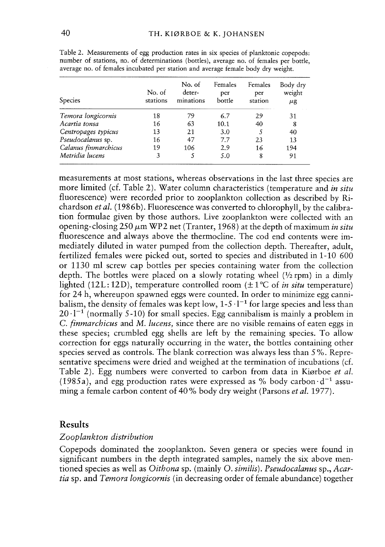| <b>Species</b>       | No. of<br>stations | No. of<br>deter-<br>minations | Females<br>per<br>bottle | Females<br>per<br>station | Body dry<br>weight<br>μg |
|----------------------|--------------------|-------------------------------|--------------------------|---------------------------|--------------------------|
| Temora longicornis   | 18                 | 79                            | 6.7                      | 29                        | 31                       |
| Acartia tonsa        | 16                 | 63                            | 10.1                     | 40                        | 8                        |
| Centropages typicus  | 13                 | 21                            | 3.0                      | 5                         | 40                       |
| Pseudocalanus sp.    | 16                 | 47                            | 7.7                      | 23                        | 13                       |
| Calanus finmarchicus | 19                 | 106                           | 2.9                      | 16                        | 194                      |
| Metridia lucens      | 3                  |                               | 5.0                      | 8                         | 91                       |

Table 2. Measurements of egg production rates in six species of planktonic copepods: number of stations, no. of determinations (botties), average no. of females per bottie, average no. of females incubated per station and average female body dry weight.

measurements at most stations, whereas observations in the last three species are more limited (cf. Table 2). Water column characteristics (temperature and *in situ* fluorescence) were recorded prior to zooplankton collection as described by Ri chardson *et al*. (1986b). Fluorescence was converted to chlorophyll<sub>a</sub> by the calibration formulae given by those authors. Live zooplankton were collected with an opening-closing 250  $\mu$ m WP2 net (Tranter, 1968) at the depth of maximum *in situ* fluorescence and always above the thermocline. The cod end contents were im mediately diluted in water pumped from the collection depth. Thereafter, adult, fertilized females were picked out, sorted to species and distributed in 1-10 600 or 1130 ml screw cap bottles per species containing water from the collection depth. The bottles were placed on a slowly rotating wheel  $(\frac{1}{2}$  rpm) in a dimly lighted (12L: 12D), temperature controlled room  $(\pm 1^{\circ}C)$  of *in situ* temperature) for 24 b, whereupon spawned eggs were counted. In order to minimize egg canni balism, the density of females was kept low,  $1-5 \cdot 1^{-1}$  for large species and less than  $20 \cdot 1^{-1}$  (normally 5-10) for small species. Egg cannibalism is mainly a problem in C. *finmarchicus* and M. *lucens,* since there are no visible remains of eaten eggs in these species; crumbled egg shelis are left by the remaining species. To allow correction for eggs naturally occurring in the water, the bottles containing other species served as controls. The blank correction was always less than 5%. Repre sentative specimens were dried and weighed at the termination of incubations (cf. Table 2). Egg numbers were converted to carbon from data in Kiørboe *et al*. (1985a), and egg production rates were expressed as % body carbon  $d^{-1}$  assuming a female carbon content of 40% body dry weight (Parsons *et al.* 1977).

## **Results**

#### Zooplankton distribution

Copepods dominated the zooplankton. Seven genera or species were found in significant numbers in the depth integrated samples, namely the six above men tioned species as well as O*ithona* sp. (mainly O. *similis*). *Pseudocalanus* sp., A*cartia* sp. and *Temora longicornis* (in decreasing order of female abundance) together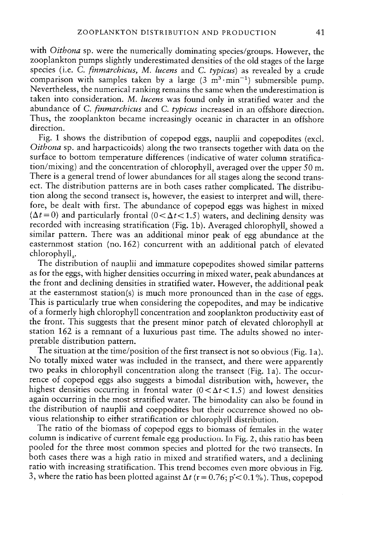with Oithona sp. were the numerically dominating species/groups. However, the zooplankton pumps slightly underestimated densities of the old stages of the large species (i.e. C. *finmarchicus*, M. lucens and C. typicus) as revealed by a crude comparison with samples taken by a large  $(3 \text{ m}^3 \cdot \text{min}^{-1})$  submersible pump. Nevertheless, the numerical ranking remains the same when the underestimation is taken into consideration. M. lucens was found only in stratified water and the abundance of C. *finmarchicus* and C. typicus increased in an offshore direction. Thus, the zooplankton became increasingly oceanic in character in an offshore direction.

Fig. <sup>1</sup> shows the distribution of copepo<sup>d</sup> eggs, nauplii and copepodites (excl. Oithona sp. and harpacticoids) along the two transects together with data on the surface to bottom temperature differences (indicative of water column stratification/mixing) and the concentration of chlorophyll, averaged over the upper 50 m. There is <sup>a</sup> genera<sup>l</sup> trend of lower abundances for ali stages along the second trans ect. The distribution patterns are in both cases rather complicated. The distribu tion along the second transect is, however, the easiest to interpret and will, there fore, be dealt with first. The abundance of copepo<sup>d</sup> eggs was highest in mixed  $(\Delta t\!=\!0)$  and particularly frontal (0  $<\!\Delta t\!<\!1.5$ ) waters, and declining density was recorded with increasing stratification (Fig. 1b). Averaged chlorophyll, showed a similar pattern. There was an additional minor pea<sup>k</sup> of egg abundance at the easternmost station (no. 162) concurrent with an additional patch of elevated  $chlorophyll<sub>a</sub>$ .

The distribution of nauplii and immature copepodites showed similar patterns as for the eggs, with higher densities occurring in mixed water, pea<sup>k</sup> abundances at the front and declining densities in stratified water. However, the additional pea<sup>k</sup> at the easternmost station(s) is much more pronounce<sup>d</sup> than in the case of eggs. This is particularly true when considering the copepodites, and may be indicative of <sup>a</sup> formerly high chlorophyll concentration and zooplankton productivity east of the front. This suggests that the presen<sup>t</sup> minor patch of elevated chiorophyll at station <sup>162</sup> is <sup>a</sup> remnant of <sup>a</sup> luxurious pas<sup>t</sup> time. The aduits showed no inter pretable distribution pattern.

The situation at the time/position of the first transect is not so obvious (Fig. 1a). No totally mixed water was inciuded in the transect, and there were apparently two peaks in chlorophyll concentration along the transect (Fig. 1a). The occurrence of copepod eggs also suggests <sup>a</sup> bimodal distribution with, however, the highest densities occurring in frontal water  $(0 < \Delta t < 1.5)$  and lowest densities again occurring in the most stratified water. The bimodality can also be found in the distribution of nauplii and coeppodites but their occurrence showed no ob vious relationship to either stratification or chlorophyll distribution.

The ratio of the biomass of copepod eggs to biomass of females in the water column is indicative of current female egg production. In Fig. 2, this ratio has been pooled for the three most common species and <sup>p</sup>lotted for the two transects. In both cases there was <sup>a</sup> high ratio in mixed and stratified waters, and <sup>a</sup> declining ratio with increasing stratification. This trend becomes even more obvious in Fig. 3, where the ratio has been plotted against  $\Delta t$  (r = 0.76; p'< 0.1%). Thus, copepod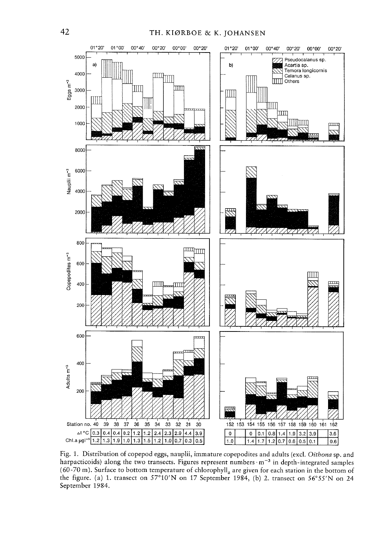

Fig. 1. Distribution of copepod eggs, nauplii, immature copepodites and adults (excl. Oithona sp. and harpacticoids) along the two transects. Figures represent numbers · m<sup>-3</sup> in depth-integrated samples (60-70 m). Surface to bottom temperature of chlorophyll<sub>a</sub> are given for each station in the bottom of the figure. (a) 1. transect on 57°10'N on 17 September 1984, (b) 2. transect on 56°55'N on 24 September 1984.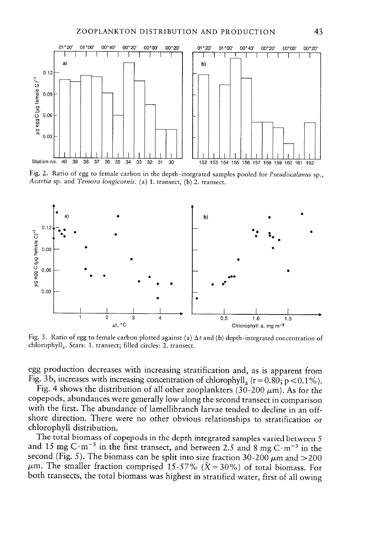

Fig. 2. Ratio of egg to female carbon in the depth-integrated samples pooled for Pseudocalanus sp., Acartia sp. and Temora longicornis. (a) 1. transect, (b) 2. transect.



Fig. 3. Ratio of egg to female carbon plotted against (a)  $\Delta t$  and (b) depth-integrated concentration of chlorophyll<sub>a</sub>. Stars: 1. transect; filled circles: 2. transect.

egg production decreases with increasing stratification and, as is apparent from Fig. 3b, increases with increasing concentration of chlorophyll<sub>a</sub> ( $r = 0.80$ ;  $p < 0.1\%$ ).

Fig. 4 shows the distribution of all other zooplankters (30-200  $\mu$ m). As for the copepods, abundances were generally low along the second transect in comparison with the first. The abundance of lamellibranch larvae tended to decline in an offshore direction. There were no other obvious relationships to stratification or chlorophyll distribution.

The total biomass of copepods in the depth integrated samples varied between 5 and 15 mg C·m<sup>-3</sup> in the first transect, and between 2.5 and 8 mg C·m<sup>-3</sup> in the second (Fig. 5). The biomass can be split into size fraction 30-200  $\mu$ m and >200  $\mu$ m. The smaller fraction comprised 15-57% ( $\bar{X}$  = 30%) of total biomass. For both transects, the total biomass was highest in stratified water, first of all owing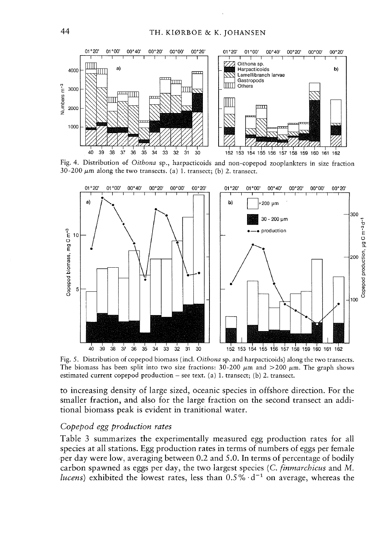

Fig. 4. Distribution of Oithona sp., harpacticoids and non-copepod zooplankters in size fraction 30-200  $\mu$ m along the two transects. (a) 1. transect; (b) 2. transect.



Fig. 5. Distribution of copepod biomass (incl. Oithona sp. and harpacticoids) along the two transects. The biomass has been split into two size fractions: 30-200  $\mu$ m and >200  $\mu$ m. The graph shows estimated current copepod production – see text. (a) 1. transect; (b) 2. transect.

to increasing density of large sized, oceanic species in offshore direction. For the smaller fraction, and also for the large fraction on the second transect an additional biomass peak is evident in tranitional water.

#### Copepod egg production rates

Table 3 summarizes the experimentally measured egg production rates for all species at all stations. Egg production rates in terms of numbers of eggs per female per day were low, averaging between 0.2 and 5.0. In terms of percentage of bodily carbon spawned as eggs per day, the two largest species (C. finmarchicus and M. *lucens*) exhibited the lowest rates, less than  $0.5\% \cdot d^{-1}$  on average, whereas the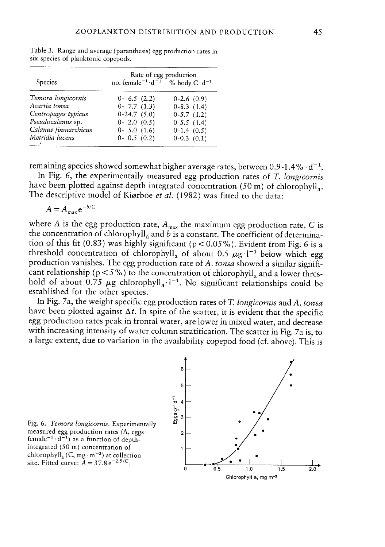| Species                                   | Rate of egg production<br>no. female <sup><math>-1</math></sup> · d <sup>-1</sup><br>% body $C \cdot d^{-1}$ |                              |  |  |
|-------------------------------------------|--------------------------------------------------------------------------------------------------------------|------------------------------|--|--|
| Temora longicornis<br>Acartia tonsa       | $0 - 6.5$ (2.2)                                                                                              | $0-2.6(0.9)$                 |  |  |
| Centropages typicus                       | $0 - 7.7(1.3)$<br>$0-24.7(5.0)$                                                                              | $0-8.3(1.4)$<br>$0-5.7(1.2)$ |  |  |
| Pseudocalanus sp.<br>Calanus finmarchicus | $0 - 2.0 (0.5)$<br>$0 - 5.0(1.6)$                                                                            | $0-5.5(1.4)$<br>$0-1.4(0.5)$ |  |  |
| Metridia lucens                           | $0 - 0.5(0.2)$                                                                                               | $0-0.3$ $(0.1)$              |  |  |

Table 3. Range and average (paranthesis) egg production rates in six species of planktonic copepods.

remaining species showed somewhat higher average rates, between  $0.9-1.4\% \cdot d^{-1}$ .

In Fig. 6, the experimentally measured egg production rates of  $T$ . longicornis have been plotted against depth integrated concentration  $(50 \text{ m})$  of chlorophyll. The descriptive model of Kiørboe et al. (1982) was fitted to the data:

$$
A = A_{\text{max}} e^{-b/C}
$$

where A is the egg production rate,  $A_{\text{max}}$  the maximum egg production rate, C is the concentration of chlorophyll<sub>a</sub> and  $b$  is a constant. The coefficient of determination of this fit (0.83) was highly significant (p < 0.05%). Evident from Fig. 6 is a threshold concentration of chlorophyll<sub>a</sub> of about 0.5  $\mu$ g·l<sup>-1</sup> below which egg production vanishes. The egg production rate of A. tonsa showed a similar significant relationship ( $p < 5\%$ ) to the concentration of chlorophyll<sub>a</sub> and a lower threshold of about  $0.75 \mu$ g chlorophyll<sub>a</sub> 1<sup>-1</sup>. No significant relationships could be established for the other species.

In Fig. 7a, the weight specific egg production rates of T. longicornis and A. tonsa have been plotted against  $\Delta t$ . In spite of the scatter, it is evident that the specific egg production rates peak in frontal water, are lower in mixed water, and decrease with increasing intensity of water column stratification. The scatter in Fig. 7a is, to <sup>a</sup> large extent, due to variation in the availability copepod food (cf. above). This is



Fig. 6. Temora Iongicornis. Experimentally measured egg production rates  $(A, eggs \cdot$ female<sup> $-1$ </sup> $\cdot$ d<sup> $-1$ </sup>) as a function of depthintegrated (50 m) concentration of chlorophyll<sub>a</sub> (C, mg·m<sup>-3</sup>) at collection site. Fitted curve:  $A = 37.8 \,\mathrm{e}^{-2.9/\mathrm{C}}$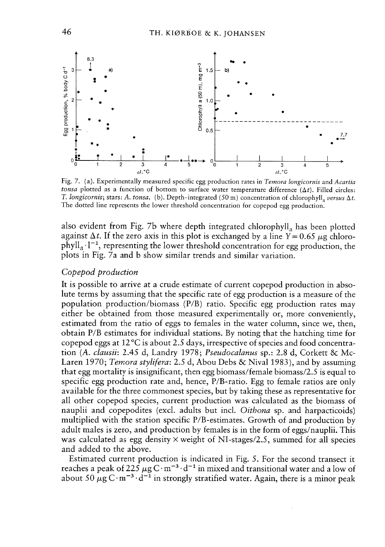

Fig. 7. (a). Experimentally measured specific egg production rates in Temora longicornis and Acartia *tonsa* plotted as a function of bottom to surface water temperature difference ( $\Delta t$ ). Filled circles T. *longicornis*; stars: A. *tonsa*. (b). Depth-integrated (50 m) concentration of chlorophyll<sub>a</sub> v*ersus*  $\Delta t$ The dotted line represents the lower threshold concentration for copepo<sup>d</sup> egg production.

also evident from Fig. 7b where depth integrated chlorophyll<sub>a</sub> has been plotted against  $\Delta t$ . If the zero axis in this plot is exchanged by a line Y = 0.65  $\mu$ g chloro $phyll<sub>a</sub>$ .<sup>1-1</sup>, representing the lower threshold concentration for egg production, the plots in Fig. 7a and b show similar trends and similar variation.

#### Copepod production

It is possible to arrive at <sup>a</sup> crude estimate of current copepod production in abso lute terms by assuming that the specific rate of egg production is <sup>a</sup> measure of the population production/biomass (P/B) ratio. Specific egg production rates may either be obtained from those measured experimentally or, more conveniently, estimated from the ratio of eggs to females in the water column, since we, then, obtain P/B estimates for individual stations. By noting that the hatching time for copepod eggs at 12°C is about 2.5 days, irrespective of species and food concentra tion (*A. clausii*: 2.45 d, Landry 1978; *Pseudocalanus* sp.: 2.8 d, Corkett & Mc-Laren 1970; *Temora stylifera*: 2.5 d, Abou Debs & Nival 1983), and by assuming that egg mortality is insignificant, then egg biomass/female biomass/2.5 is equal to specific egg production rate and, hence, P/B-ratio. Egg to female ratios are only available for the three commonest species, but by taking these as representative for ali other copepod species, current production was caiculated as the biomass of nauplii and copepodites (excl. adults but incl. Oithona sp. and harpacticoids) multiplied with the station specific P/B-estimates. Growth of and production by adult males is zero, and production by females is in the form of eggs/nauplii. This was calculated as egg density $\times$  weight of NI-stages/2.5, summed for all species and added to the above.

Estimated current production is indicated in Fig. 5. For the second transect it reaches a peak of 225  $\mu$ g C·m $^{-3}\cdot$ d $^{-1}$  in mixed and transitional water and a low of about 50  $\mu$ g C·m $^{-3}\cdot$ d $^{-1}$  in strongly stratified water. Again, there is a minor peak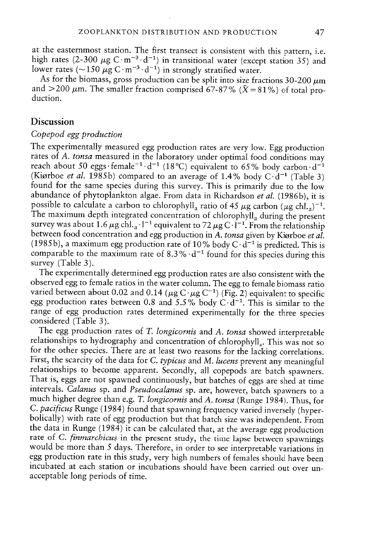at the easternmost station. The first transect is consistent with this pattern, i.e. high rates (2-300  $\mu$ g C·m<sup>-3</sup>·d<sup>-1</sup>) in transitional water (except station 35) and lower rates (~150  $\mu$ g C·m $^{-3}$ ·d $^{-1}$ ) in strongly stratified water.

As for the biomass, gross production can be split into size fractions 30-200  $\mu$ m and  $>$  200  $\mu$ m. The smaller fraction comprised 67-87% ( $\bar{X}$  = 81%) of total production.

# Discussion

#### Copepod egg production

The experimentally measured egg production rates are very low. Egg production rates of A. tonsa measured in the laboratory under optimal food conditions may reach about 50 eggs·female<sup>-1.</sup>d<sup>-1</sup> (18°C) equivalent to 65% body carbon·d<sup>-1</sup> (Kiørboe *et al*. 1985b) compared to an average of 1.4% body C·d<sup>-1</sup> (Table 3) found for the same species during this survey. This is primarily due to the low abundance of phytoplankton algae. From data in Richardson et al. (1986b), it is possible to calculate a carbon to chlorophyll<sub>a</sub> ratio of 45  $\mu$ g carbon ( $\mu$ g chl.<sub>a</sub>)<sup>-1</sup>. The maximum depth integrated concentration of chlorophyll, during the present survey was about 1.6  $\mu$ g chl.<sub>a</sub> · l<sup>-1</sup> equivalent to 72  $\mu$ g between food concentration and egg production in A. tonsa given by Kiørboe et al. (1985b), a maximum egg production rate of 10% body  $C \cdot d^{-1}$  is predicted. This is comparable to the maximum rate of  $8.3\,\% \cdot {\rm d}^{-1}$  found for this species during this survey (Table 3).

The experimentally determined egg production rates are also consistent with the observed egg to female ratios in the water column. The egg to female biomass ratio varied between about 0.02 and 0.14 ( $\mu$ g C· $\mu$ g C<sup>-1</sup>) (Fig. 2) equivalent to specific egg production rates between 0.8 and 5.5% body C $\cdot$ d $^{-1}$ . This is similar to the range of egg production rates determined experimentally for the three species considered (Table 3).<br>The egg production rates of T. longicornis and A. tonsa showed interpretable

relationships to hydrography and concentration of chlorophyll<sub>a</sub>. This was not so for the other species. There are at least two reasons for the lacking correlations. First, the scarcity of the data for *C. typicus* and *M. lucens* prevent any meaningful relationships to become apparent. Secondly, all copepods are batch spawners. That is, eggs are not spawned continuously, but batches o intervais. Calanus sp. and Pseudocalanus sp. are, however, batch spawners to <sup>a</sup> much higher degree than e.g. T. longicornis and A. tonsa (Runge 1984). Thus, for C. pacificus Runge (1984) found that spawning frequency varied inversely (hyperbolically) with rate of egg production but that batch size was independent. From the data in Runge  $(1984)$  it can be calculated that, at the average egg production rate of C. *finmarchicus* in the present study, the time lapse between spawnings would be more than 5 days. Therefore, in order to see interpretable variations in egg production rate in this study, very high numbers of females should have been incubated at each station or incubations should have been carried out over unacceptable long periods of time.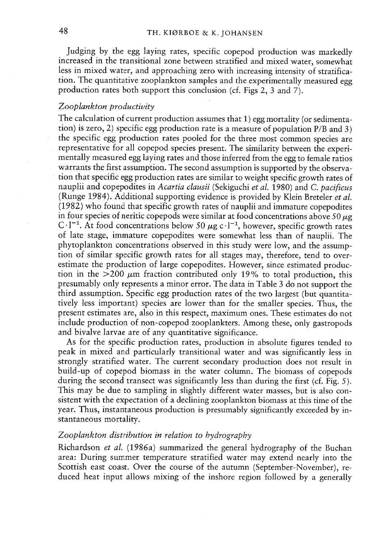Judging by the egg laying rates, specific copepo<sup>d</sup> production was markedly increased in the transitional zone between stratified and mixed water, somewhat less in mixed water, and approaching zero with increasing intensity of stratifica tion. The quantitative zooplankton samples and the experimentally measured egg production rates both suppor<sup>t</sup> this conciusion (cf. Figs 2, 3 and 7).

## Zooplankton productivity

The caiculation of current production assumes that 1) egg mortality (or sedimenta tion) is zero, 2) specific egg production rate is <sup>a</sup> measure of population P/B and 3) the specific egg production rates pooled for the three most common species are representative for ali copepo<sup>d</sup> species present. The similarity between the exper<sup>i</sup> mentally measured egg laying rates and those inferred from the egg to female ratios warrants the first assumption. The second assumption is supported by the observa tion that specific egg production rates are similar to weight specific growth rates of nauplii and copepodites in Acartia clausii (Sekiguchi et al. 1980) and C. pacificus (Runge 1984). Additional supporting evidence is provided by Klein Breteler et al. (1982) who found that specific growth rates of naupiii and immature copepodites in four species of neritic copepods were similar at food concentrations above 50  $\mu$ g  $C \cdot l^{-1}$ . At food concentrations below 50  $\mu$ g c $\cdot l^{-1}$ , however, specific growth rates of late stage, immature copepodites were somewhat less than of naupiii. The <sup>p</sup>hytoplankton concentrations observed in this study were low, and the assump tion of similar specific growth rates for ali stages may, therefore, tend to over estimate the production of large copepodites. However, since estimated produc tion in the  $>200 \mu m$  fraction contributed only 19% to total production, this presumably only represents a minor error. The data in Table 3 do not support the third assumption. Specific egg production rates of the two largest (but quantita tively iess important) species are lower than for the smailer species. Thus, the presen<sup>t</sup> estimates are, also in this respect, maximum ones. These estimates do not inciude production of non-copepo<sup>d</sup> zooplankters. Among these, only gastropods and bivalve larvae are of any quantitative significance.

As for the specific production rates, production in absolute figures tended to peak in mixed and particularly transitional water and was significantiy iess in strongly stratified water. The current secondary production does not result in buiid-up of copepod biomass in the water coiumn. The biomass of copepods during the second transect was significantly less than during the first (cf. Fig. 5). This may be due to sampiing in siightly different water masses, but is also con sistent with the expectation of <sup>a</sup> declining zooplankton biomass at this time of the year. Thus, instantaneous production is presumably significantly exceeded by in stantaneous mortaiity.

# Zooplankton distribution in relation to hydrography

Richardson *et al.* (1986a) summarized the general hydrography of the Buchar area: During summer temperature stratified water may extend nearly into the Scottish east coast. Over the course of the autumn (September-November), re duced heat input allows mixing of the inshore region followed by a generally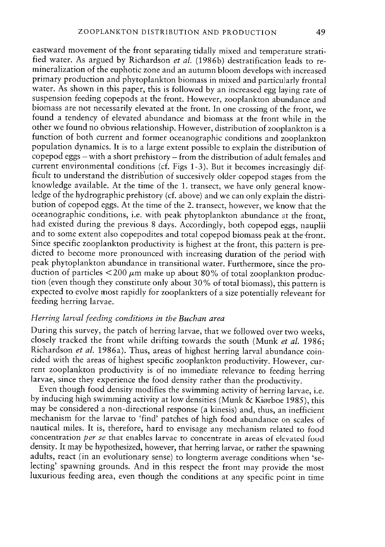eastward movement of the front separating tidally mixed and temperature strati fied water. As argued by Richardson *et al.* (1986b) destratification leads to remineralization of the euphotic zone and an autumn bloom develops with increased primary production and <sup>p</sup>hytoplankton biomass in mixed and particularly frontal water. As shown in this paper, this is followed by an increased egg laying rate of suspension feeding copepods at the front. However, zooplankton abundance and biomass are not necessarily elevated at the front. In one crossing of the front, we found <sup>a</sup> tendency of elevated abundance and biomass at the front while in the other we found no obvious relationship. However, distribution of zooplankton is <sup>a</sup> function of both current and former oceanographic conditions and zooplankton population dynamics. It is to <sup>a</sup> large extent possible to explain the distribution of copepod eggs — with <sup>a</sup> short prehistory — from the distribution of adult females and current environmental conditions (cf. Figs 1-3). But it becomes increasingly dif ficult to understand the distribution of succesively older copepod stages from the knowiedge available. At the time of the 1. transect, we have only general know ledge of the hydrographic prehistory (cf. above) and we can only explain the distri bution of copepod eggs. At the time of the 2. transect, however, we know that the oceanographic conditions, i.e. with peak <sup>p</sup>hytoplankton abundance at the front, had existed during the previous <sup>8</sup> days. Accordingly, both copepod eggs, nauplii and to some extent also copepodites and total copepod biomass peak at the front.<br>Since specific zooplankton productivity is highest at the front, this pattern is predicted to become more pronounced with increasing duration of the period with peak phytoplankton abundance in transitional water. Furthermore, since the propeak phytoplankton abundance in transitional water. Furthermore, since the pro-<br>duction of particles  ${<}200~\mu$ m make up about 80% of total zooplankton production (even though they constitute only about 30% of total biomass), this pattern is expected to evolve rnost rapidly for zooplankters of <sup>a</sup> size potentially releveant for feeding herring Iarvae.

# Herring larval feeding conditions in the Buchan area

During this survey, the patch of herring Iarvae, that we followed over two weeks, closely tracked the front while drifting towards the south (Munk et al. 1986; Richardson et al. 1986a). Thus, areas of highest herring larval abundance coin cided with the areas of highest specific zooplankton productivity. However, cur larvae, since they experience the food density rather than the productivity.

Even though food density modifies the swimming activity of herring larvae, i.e. by inducing high swimming activity at low densities (Munk & Kiørboe 1985), this may be considered <sup>a</sup> non-directional response (a kinesis) and, thus, an inefficient mechanism for the larvae to 'find' patches of high food abundance on scales of nautical miles. Tt is, therefore, hard to envisage any mechanism related to food concentration *per se* that enables larvae to concentrate in areas of elevated food density. It may be hypothesized, however, that herring larvae, or rather the spawning adults, react (in an evolutionary sense) to longterm average conditions when 'selecting' spawning grounds. And in this respect the front may provide the most luxurious feeding area, even though the conditions at any specific point in time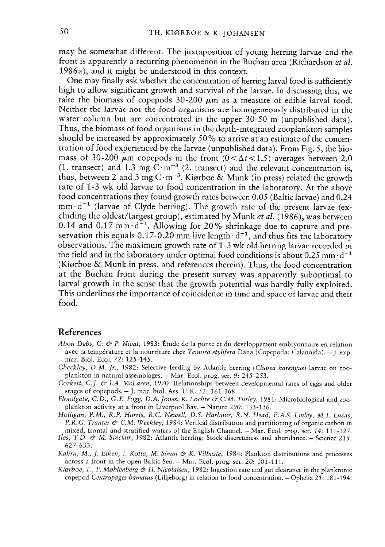may be somewhat different. The juxtaposition of young herring larvae and the front is apparently a recurring phenomenon in the Buchan area (Richardson et al 1986a), and it might be understood in this context.

One may finally ask whether the concentration of herring larval food is sufficiently high to allow significant growth and survival of the larvae. In discussing this, we take the biomass of copepods  $30-200 \mu m$  as a measure of edible larval food. Neither the larvae nor the food organisms are homogeneously distributed in the water column but are concentrated in the upper 30-50 m (unpublished data). Thus, the biomass of food organisms in the depth-integrated zooplankton samples should be increased by approximately 50% to arrive at an estimate of the concen tration of food experienced by the larvae (unpublished data). From Fig. 5, the biomass of 30-200  $\mu$ m copepods in the front (0 <  $\Delta t$  < 1.5) averages between 2.0 (1. transect) and 1.3 mg  $\text{C} \cdot \text{m}^{-3}$  (2. transect) and the relevant concentration is, thus, between 2 and 3 mg C·m<sup>-3</sup>. Kiørboe  $\&$  Munk (in press) related the growth rate of 1-3 wk old larvae to food concentration in the laboratory. At the above food concentrations they found growth rates between 0.05 (Baltic larvae) and 0.24  $mm \cdot d^{-1}$  (larvae of Clyde herring). The growth rate of the present larvae (excluding the oldest/largest group), estimated by Munk et al. (1986), was between 0.14 and 0.17 mm $d^{-1}$ . Allowing for 20% shrinkage due to capture and preservation this equals 0.17-0.20 mm live length  $d^{-1}$ , and thus fits the laboratory observations. The maximum growth rate of 1-3 wk old herring larvae recorded in the field and in the laboratory under optimal food conditions is about 0.25 mm $\cdot$  d<sup>-1</sup> (Kiørboe & Munk in press, and references therein). Thus, the food concentration at the Buchan front during the presen<sup>t</sup> survey was apparently suboptimal to larval growth in the sense that the growth potential was hardly fully exploited. This underlines the importance of coincidence in time and space of larvae and their food.

# References

- Abou Debs, C: & P. Nival, 1983: Étude de la ponte et du développement embryonnaire en relation avec la température et la nourriture chez *Temora stylifera* Dana (Copepoda: Calanoida). – J. exp mar. Biol. Ecol. 72: 125-145.
- Checkley, D.M. Jr., 1982: Selective feeding by Atlantic herring (Clupea harengus) larvae on zooplankton in natural assembiages. — Mar. Ecol. prog. ser. 9: 245-253.
- Corkett, C.J. & I.A. McLaren, 1970: Relationships between developmental rates of eggs and older stages of copepods.  $-$  J. mar. biol. Ass. U.K. 52: 161-168.
- Floodgate, C.D., G.E. Fogg, D.A. Jones, K. Lochte & C.M. Turley, 1981: Microbiological and zooplankton activity at <sup>a</sup> front in Liverpool Bay. — Naturc 290: 133-136.
- Holligan, P.M., R.P. Harris, R.C. Newell, D.S. Harbour, R.N. Head, E.A.S. Linley, MI. Lucas, P.R.G. Tranter & C.M. Weekley, 1984: Vertical distribution and partitioning of organic carbon in mixed, frontal and stratified waters of the English Channel. — Mar. Ecol. prog. ser. 14: 111-127.
- Iles, T.D. & M. Sinclair, 1982: Atlantic herring: Stock discreteness and abundance. Science 215: 627-633.
- Kahru, M., J. Elken, I. Kotta, M. Simm & K. Vilbaste, 1984: Plankton distributions and processe across a front in the open Baltic Sea. — Mar. Ecol. prog. ser. 20: 101-111.
- Kiørboe, T., F. Møhlenberg & H. Nicolajsen, 1982: Ingestion rate and gut clearance in the planktonic copepo<sup>d</sup> Centropages hamatus (Lilljeborg) in relation to food concentration. — Ophelia 21: 181-194.